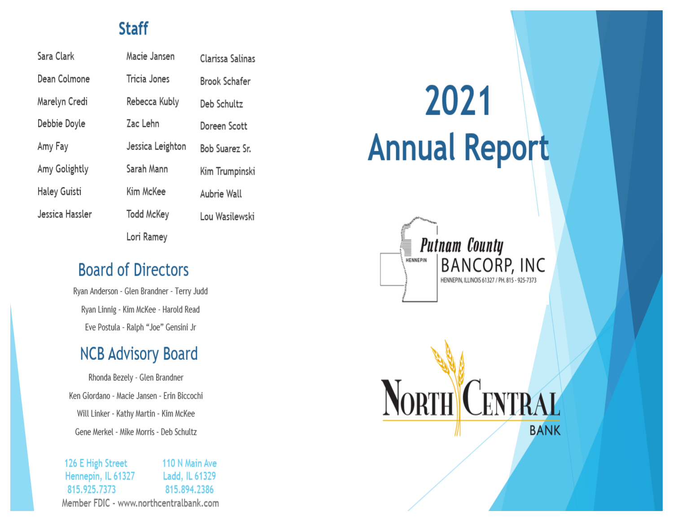## **Staff**

Sara Clark Dean Colmone Marelyn Credi Debbie Doyle Amy Fay Amy Golightly Haley Guisti Jessica Hassler Macie Jansen Clarissa Salinas Tricia Jones **Brook Schafer** Rebecca Kubly Deb Schultz Zac Lehn Doreen Scott Jessica Leighton Bob Suarez Sr. Sarah Mann Kim Trumpinski Kim McKee Aubrie Wall **Todd McKey** Lou Wasilewski Lori Ramey

## **Board of Directors**

Ryan Anderson - Glen Brandner - Terry Judd Ryan Linnig - Kim McKee - Harold Read Eve Postula - Ralph "Joe" Gensini Jr

# **NCB Advisory Board**

Rhonda Bezely - Glen Brandner Ken Giordano - Macie Jansen - Erin Biccochi Will Linker - Kathy Martin - Kim McKee Gene Merkel - Mike Morris - Deb Schultz

126 E High Street 110 N Main Ave Hennepin, IL 61327 Ladd, IL 61329 815.925.7373 815.894.2386 Member FDIC - www.northcentralbank.com

# 2021 **Annual Report**